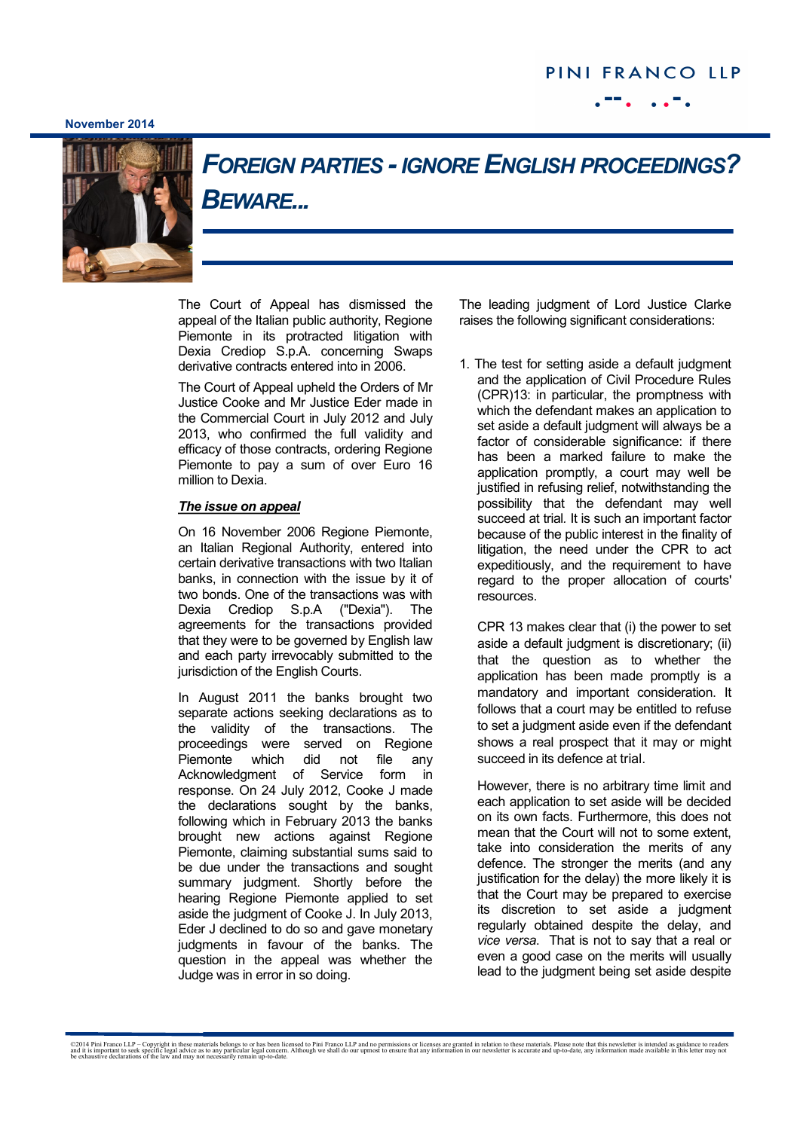## PINI FRANCO LLP

## **November 2014**



## *FOREIGN PARTIES -IGNORE ENGLISH PROCEEDINGS? BEWARE...*

The Court of Appeal has dismissed the appeal of the Italian public authority, Regione Piemonte in its protracted litigation with Dexia Crediop S.p.A. concerning Swaps derivative contracts entered into in 2006.

The Court of Appeal upheld the Orders of Mr Justice Cooke and Mr Justice Eder made in the Commercial Court in July 2012 and July 2013, who confirmed the full validity and efficacy of those contracts, ordering Regione Piemonte to pay a sum of over Euro 16 million to Dexia.

## *The issue on appeal*

On 16 November 2006 Regione Piemonte, an Italian Regional Authority, entered into certain derivative transactions with two Italian banks, in connection with the issue by it of two bonds. One of the transactions was with Dexia Crediop S.p.A ("Dexia"). The agreements for the transactions provided that they were to be governed by English law and each party irrevocably submitted to the jurisdiction of the English Courts.

In August 2011 the banks brought two separate actions seeking declarations as to the validity of the transactions. The proceedings were served on Regione Piemonte which did not file any Acknowledgment of Service form in response. On 24 July 2012, Cooke J made the declarations sought by the banks, following which in February 2013 the banks brought new actions against Regione Piemonte, claiming substantial sums said to be due under the transactions and sought summary judgment. Shortly before the hearing Regione Piemonte applied to set aside the judgment of Cooke J. In July 2013, Eder J declined to do so and gave monetary judgments in favour of the banks. The question in the appeal was whether the Judge was in error in so doing.

The leading judgment of Lord Justice Clarke raises the following significant considerations:

1. The test for setting aside a default judgment and the application of Civil Procedure Rules (CPR)13: in particular, the promptness with which the defendant makes an application to set aside a default judgment will always be a factor of considerable significance: if there has been a marked failure to make the application promptly, a court may well be justified in refusing relief, notwithstanding the possibility that the defendant may well succeed at trial*.* It is such an important factor because of the public interest in the finality of litigation, the need under the CPR to act expeditiously, and the requirement to have regard to the proper allocation of courts' resources.

CPR 13 makes clear that (i) the power to set aside a default judgment is discretionary; (ii) that the question as to whether the application has been made promptly is a mandatory and important consideration. It follows that a court may be entitled to refuse to set a judgment aside even if the defendant shows a real prospect that it may or might succeed in its defence at trial.

However, there is no arbitrary time limit and each application to set aside will be decided on its own facts. Furthermore, this does not mean that the Court will not to some extent, take into consideration the merits of any defence. The stronger the merits (and any justification for the delay) the more likely it is that the Court may be prepared to exercise its discretion to set aside a judgment regularly obtained despite the delay, and *vice versa*. That is not to say that a real or even a good case on the merits will usually lead to the judgment being set aside despite

©2014 Pini Franco LLP – Copyright in these materials belongs to or has been licensed to Pini Franco LLP and no permissions or licenses are granted in relation to these materials. Please note that this newsletter is intende